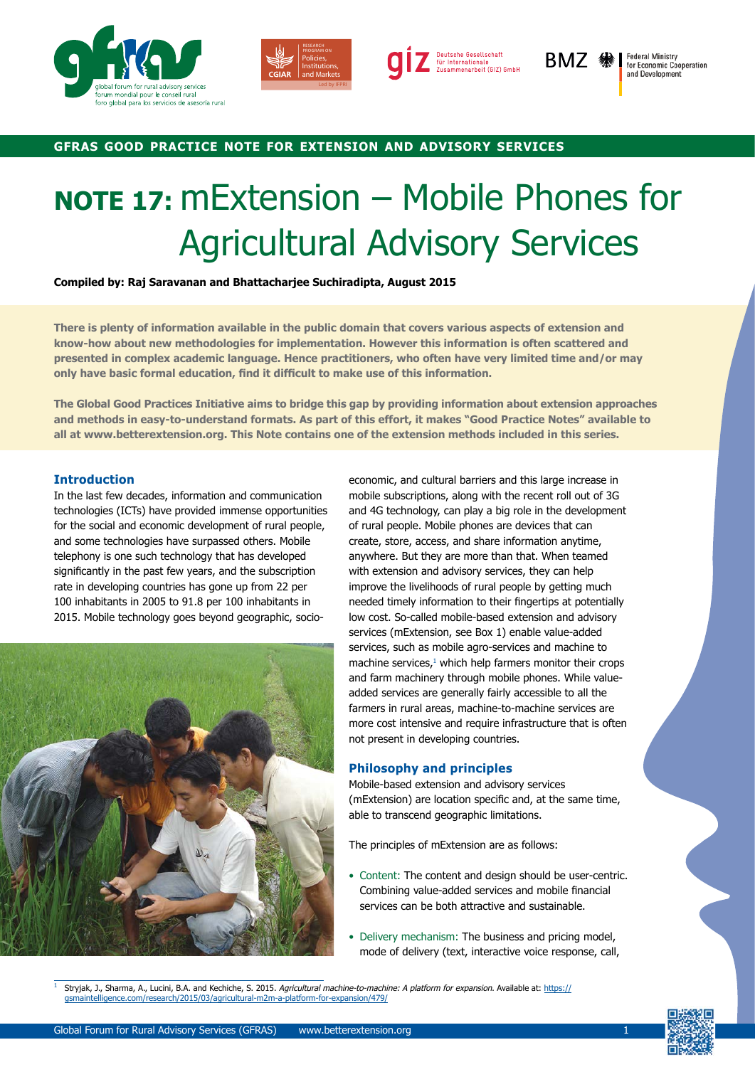





BMZ ��

**Federal Ministry<br>for Economic Cooperation** and Development

## **gfras good practice note for extension and advisory services**

# **NOTE 17:** mExtension – Mobile Phones for Agricultural Advisory Services

**Compiled by: Raj Saravanan and Bhattacharjee Suchiradipta, August 2015**

**There is plenty of information available in the public domain that covers various aspects of extension and know-how about new methodologies for implementation. However this information is often scattered and presented in complex academic language. Hence practitioners, who often have very limited time and/or may only have basic formal education, find it difficult to make use of this information.**

**The Global Good Practices Initiative aims to bridge this gap by providing information about extension approaches and methods in easy-to-understand formats. As part of this effort, it makes "Good Practice Notes" available to all at www.betterextension.org. This Note contains one of the extension methods included in this series.**

## **Introduction**

In the last few decades, information and communication technologies (ICTs) have provided immense opportunities for the social and economic development of rural people, and some technologies have surpassed others. Mobile telephony is one such technology that has developed significantly in the past few years, and the [subscription](http://www.itu.int/en/ITU-D/Statistics/Documents/statistics/2015/ITU_Key_2005-2015_ICT_data.xls)  [rate in developing countries](http://www.itu.int/en/ITU-D/Statistics/Documents/statistics/2015/ITU_Key_2005-2015_ICT_data.xls) has gone up from 22 per 100 inhabitants in 2005 to 91.8 per 100 inhabitants in 2015. Mobile technology goes beyond geographic, socio-



economic, and cultural barriers and this large increase in mobile subscriptions, along with the recent roll out of 3G and 4G technology, can play a big role in the development of rural people. Mobile phones are devices that can create, store, access, and share information anytime, anywhere. But they are more than that. When teamed with extension and advisory services, they can help improve the livelihoods of rural people by getting much needed timely information to their fingertips at potentially low cost. So-called mobile-based extension and advisory services (mExtension, see Box 1) enable value-added services, such as mobile agro-services and machine to  $machine$  services, $<sup>1</sup>$  which help farmers monitor their crops</sup> and farm machinery through mobile phones. While valueadded services are generally fairly accessible to all the farmers in rural areas, machine-to-machine services are more cost intensive and require infrastructure that is often not present in developing countries.

## **Philosophy and principles**

Mobile-based extension and advisory services (mExtension) are location specific and, at the same time, able to transcend geographic limitations.

The principles of mExtension are as follows:

- Content: The content and design should be user-centric. Combining value-added services and mobile financial services can be both attractive and sustainable.
- Delivery mechanism: The business and pricing model, mode of delivery (text, interactive voice response, call,

Stryjak, J., Sharma, A., Lucini, B.A. and Kechiche, S. 2015. Agricultural machine-to-machine: A platform for expansion. Available at: [https://](https://gsmaintelligence.com/research/2015/03/agricultural-m2m-a-platform-for-expansion/479/) [gsmaintelligence.com/research/2015/03/agricultural-m2m-a-platform-for-expansion/479/](https://gsmaintelligence.com/research/2015/03/agricultural-m2m-a-platform-for-expansion/479/)

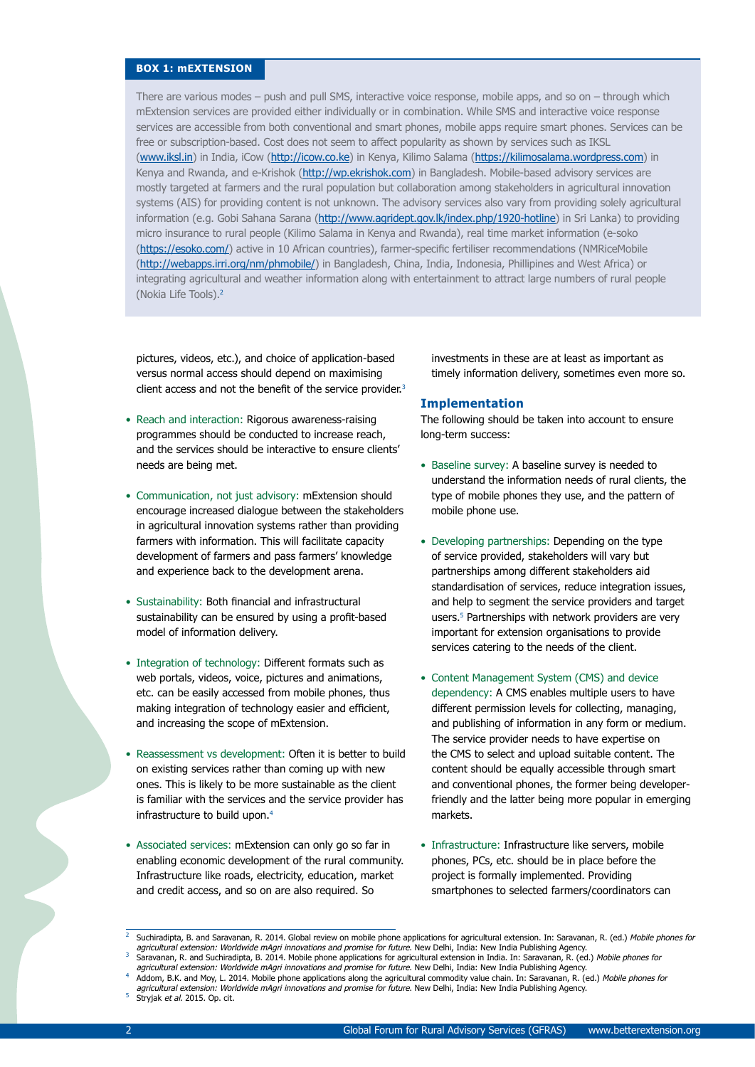### **BOX 1: mEXTENSION**

There are various modes – push and pull SMS, interactive voice response, mobile apps, and so on – through which mExtension services are provided either individually or in combination. While SMS and interactive voice response services are accessible from both conventional and smart phones, mobile apps require smart phones. Services can be free or subscription-based. Cost does not seem to affect popularity as shown by services such as IKSL (www.iksl.in) in India, iCow (http://icow.co.ke) in Kenya, Kilimo Salama (https://kilimosalama.wordpress.com) in Kenya and Rwanda, and e-Krishok (http://wp.ekrishok.com) in Bangladesh. Mobile-based advisory services are mostly targeted at farmers and the rural population but collaboration among stakeholders in agricultural innovation systems (AIS) for providing content is not unknown. The advisory services also vary from providing solely agricultural information (e.g. Gobi Sahana Sarana (http://www.agridept.gov.lk/index.php/1920-hotline) in Sri Lanka) to providing micro insurance to rural people (Kilimo Salama in Kenya and Rwanda), real time market information (e-soko (https://esoko.com/) active in 10 African countries), farmer-specific fertiliser recommendations (NMRiceMobile (http://webapps.irri.org/nm/phmobile/) in Bangladesh, China, India, Indonesia, Phillipines and West Africa) or integrating agricultural and weather information along with entertainment to attract large numbers of rural people (Nokia Life Tools).<sup>2</sup>

pictures, videos, etc.), and choice of application-based versus normal access should depend on maximising client access and not the benefit of the service provider.<sup>3</sup>

- Reach and interaction: Rigorous awareness-raising programmes should be conducted to increase reach, and the services should be interactive to ensure clients' needs are being met.
- Communication, not just advisory: mExtension should encourage increased dialogue between the stakeholders in agricultural innovation systems rather than providing farmers with information. This will facilitate capacity development of farmers and pass farmers' knowledge and experience back to the development arena.
- Sustainability: Both financial and infrastructural sustainability can be ensured by using a profit-based model of information delivery.
- Integration of technology: Different formats such as web portals, videos, voice, pictures and animations, etc. can be easily accessed from mobile phones, thus making integration of technology easier and efficient, and increasing the scope of mExtension.
- Reassessment vs development: Often it is better to build on existing services rather than coming up with new ones. This is likely to be more sustainable as the client is familiar with the services and the service provider has infrastructure to build upon.4
- Associated services: mExtension can only go so far in enabling economic development of the rural community. Infrastructure like roads, electricity, education, market and credit access, and so on are also required. So

investments in these are at least as important as timely information delivery, sometimes even more so.

#### **Implementation**

The following should be taken into account to ensure long-term success:

- Baseline survey: A baseline survey is needed to understand the information needs of rural clients, the type of mobile phones they use, and the pattern of mobile phone use.
- Developing partnerships: Depending on the type of service provided, stakeholders will vary but partnerships among different stakeholders aid standardisation of services, reduce integration issues, and help to segment the service providers and target users.5 Partnerships with network providers are very important for extension organisations to provide services catering to the needs of the client.
- Content Management System (CMS) and device dependency: A CMS enables multiple users to have different permission levels for collecting, managing, and publishing of information in any form or medium. The service provider needs to have expertise on the CMS to select and upload suitable content. The content should be equally accessible through smart and conventional phones, the former being developerfriendly and the latter being more popular in emerging markets.
- Infrastructure: Infrastructure like servers, mobile phones, PCs, etc. should be in place before the project is formally implemented. Providing smartphones to selected farmers/coordinators can

Stryjak et al. 2015. Op. cit.

Suchiradipta, B. and Saravanan, R. 2014. Global review on mobile phone applications for agricultural extension. In: Saravanan, R. (ed.) Mobile phones for agricultural extension: Worldwide mAgri innovations and promise for future. New Delhi, India: New India Publishing Agency.

Saravanan, R. and Suchiradipta, B. 2014. Mobile phone applications for agricultural extension in India. In: Saravanan, R. (ed.) Mobile phones for agricultural extension: Worldwide mAgri innovations and promise for future. New Delhi, India: New India Publishing Agency.

Addom, B.K. and Moy, L. 2014. Mobile phone applications along the agricultural commodity value chain. In: Saravanan, R. (ed.) Mobile phones for agricultural extension: Worldwide mAgri innovations and promise for future. New Delhi, India: New India Publishing Agency.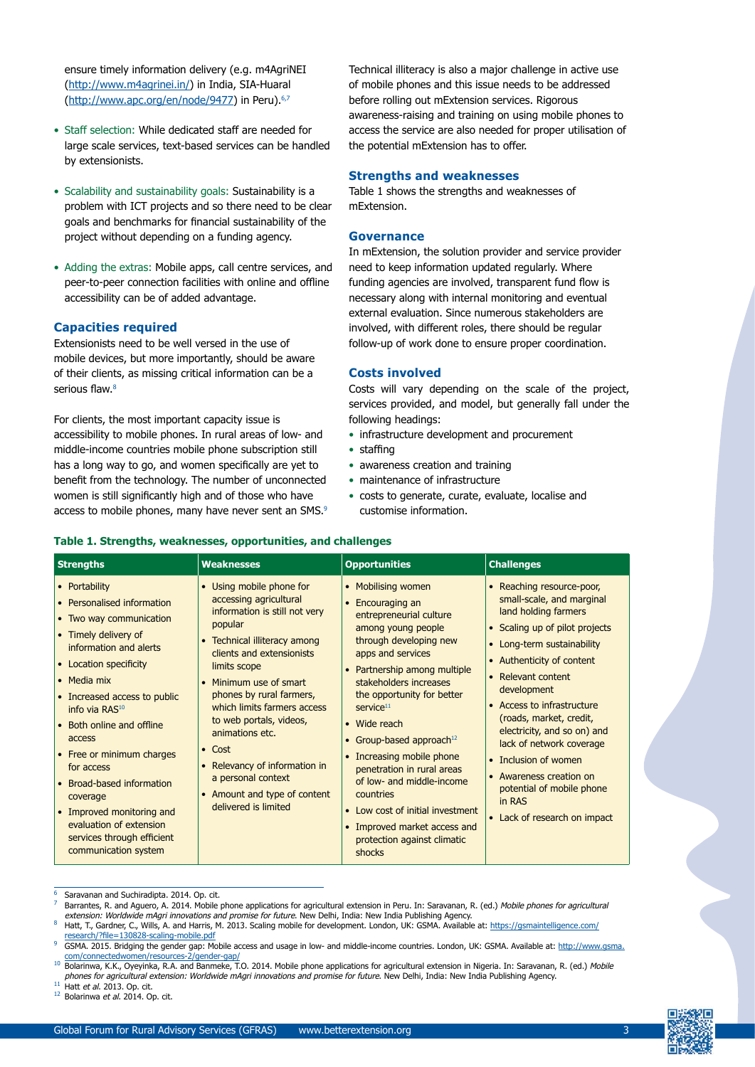ensure timely information delivery (e.g. m4AgriNEI (http://www.m4agrinei.in/) in India, SIA-Huaral (http://www.apc.org/en/node/9477) in Peru).<sup>6,7</sup>

- Staff selection: While dedicated staff are needed for large scale services, text-based services can be handled by extensionists.
- Scalability and sustainability goals: Sustainability is a problem with ICT projects and so there need to be clear goals and benchmarks for financial sustainability of the project without depending on a funding agency.
- Adding the extras: Mobile apps, call centre services, and peer-to-peer connection facilities with online and offline accessibility can be of added advantage.

## **Capacities required**

Extensionists need to be well versed in the use of mobile devices, but more importantly, should be aware of their clients, as missing critical information can be a serious flaw.<sup>8</sup>

For clients, the most important capacity issue is accessibility to mobile phones. In rural areas of low- and middle-income countries mobile phone subscription still has a long way to go, and women specifically are yet to benefit from the technology. The number of unconnected women is still significantly high and of those who have access to mobile phones, many have never sent an SMS.<sup>9</sup>

Technical illiteracy is also a major challenge in active use of mobile phones and this issue needs to be addressed before rolling out mExtension services. Rigorous awareness-raising and training on using mobile phones to access the service are also needed for proper utilisation of the potential mExtension has to offer.

## **Strengths and weaknesses**

Table 1 shows the strengths and weaknesses of mExtension.

#### **Governance**

In mExtension, the solution provider and service provider need to keep information updated regularly. Where funding agencies are involved, transparent fund flow is necessary along with internal monitoring and eventual external evaluation. Since numerous stakeholders are involved, with different roles, there should be regular follow-up of work done to ensure proper coordination.

#### **Costs involved**

Costs will vary depending on the scale of the project, services provided, and model, but generally fall under the following headings:

- infrastructure development and procurement
- staffing
- awareness creation and training
- maintenance of infrastructure
- costs to generate, curate, evaluate, localise and customise information.

#### **Table 1. Strengths, weaknesses, opportunities, and challenges**

| <b>Strengths</b>                                                                                                                                                                                                                                                                                                                                                                                                                                                       | <b>Weaknesses</b>                                                                                                                                                                                                                                                                                                                                                                                                                                                     | <b>Opportunities</b>                                                                                                                                                                                                                                                                                                                                                                                                                                                                                                        | <b>Challenges</b>                                                                                                                                                                                                                                                                                                                                                                                                                                              |
|------------------------------------------------------------------------------------------------------------------------------------------------------------------------------------------------------------------------------------------------------------------------------------------------------------------------------------------------------------------------------------------------------------------------------------------------------------------------|-----------------------------------------------------------------------------------------------------------------------------------------------------------------------------------------------------------------------------------------------------------------------------------------------------------------------------------------------------------------------------------------------------------------------------------------------------------------------|-----------------------------------------------------------------------------------------------------------------------------------------------------------------------------------------------------------------------------------------------------------------------------------------------------------------------------------------------------------------------------------------------------------------------------------------------------------------------------------------------------------------------------|----------------------------------------------------------------------------------------------------------------------------------------------------------------------------------------------------------------------------------------------------------------------------------------------------------------------------------------------------------------------------------------------------------------------------------------------------------------|
| • Portability<br>• Personalised information<br>• Two way communication<br>• Timely delivery of<br>information and alerts<br>• Location specificity<br>• Media mix<br>• Increased access to public<br>info via RAS <sup>10</sup><br>• Both online and offline<br>access<br>• Free or minimum charges<br>for access<br>Broad-based information<br>coverage<br>• Improved monitoring and<br>evaluation of extension<br>services through efficient<br>communication system | Using mobile phone for<br>$\bullet$<br>accessing agricultural<br>information is still not very<br>popular<br>• Technical illiteracy among<br>clients and extensionists<br>limits scope<br>Minimum use of smart<br>$\bullet$<br>phones by rural farmers,<br>which limits farmers access<br>to web portals, videos,<br>animations etc.<br>$\bullet$ Cost<br>• Relevancy of information in<br>a personal context<br>• Amount and type of content<br>delivered is limited | • Mobilising women<br>• Encouraging an<br>entrepreneurial culture<br>among young people<br>through developing new<br>apps and services<br>• Partnership among multiple<br>stakeholders increases<br>the opportunity for better<br>$s$ ervice $11$<br>• Wide reach<br>• Group-based approach <sup>12</sup><br>• Increasing mobile phone<br>penetration in rural areas<br>of low- and middle-income<br>countries<br>• Low cost of initial investment<br>• Improved market access and<br>protection against climatic<br>shocks | • Reaching resource-poor,<br>small-scale, and marginal<br>land holding farmers<br>• Scaling up of pilot projects<br>• Long-term sustainability<br>• Authenticity of content<br>• Relevant content<br>development<br>• Access to infrastructure<br>(roads, market, credit,<br>electricity, and so on) and<br>lack of network coverage<br>• Inclusion of women<br>• Awareness creation on<br>potential of mobile phone<br>in RAS<br>• Lack of research on impact |

- <sup>6</sup> Saravanan and Suchiradipta. 2014. Op. cit.
- Barrantes, R. and Aguero, A. 2014. Mobile phone applications for agricultural extension in Peru. In: Saravanan, R. (ed.) Mobile phones for agricultural extension: Worldwide mAgri innovations and promise for future. New Delhi, India: New India Publishing Agency
- <sup>8</sup> Hatt, T., Gardner, C., Wills, A. and Harris, M. 2013. Scaling mobile for development. London, UK: GSMA. Available at: [https://gsmaintelligence.com/](https://gsmaintelligence.com/research/?file=130828-scaling-mobile.pdf) [research/?file=130828-scaling-mobile.pdf](https://gsmaintelligence.com/research/?file=130828-scaling-mobile.pdf)
- GSMA. 2015. Bridging the gender gap: Mobile access and usage in low- and middle-income countries. London, UK: GSMA. Available at: [http://www.gsma.](http://www.gsma.com/connectedwomen/resources-2/gender-gap/) [com/connectedwomen/resources-2/gender-gap/](http://www.gsma.com/connectedwomen/resources-2/gender-gap/)
- 10 Bolarinwa, K.K., Oyeyinka, R.A. and Banmeke, T.O. 2014. Mobile phone applications for agricultural extension in Nigeria. In: Saravanan, R. (ed.) Mobile phones for agricultural extension: Worldwide mAgri innovations and promise for future. New Delhi, India: New India Publishing Agency.<br><sup>11</sup> Hatt et al. 2013. Op. cit.
- 
- $12$  Bolarinwa et al. 2014. Op. cit.